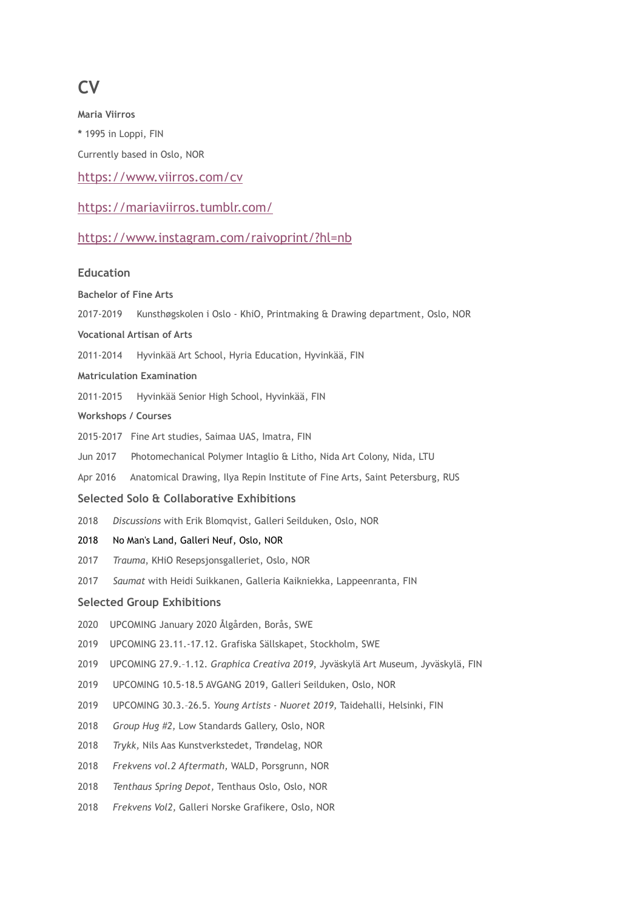# **CV**

**Maria Viirros \*** 1995 in Loppi, FIN Currently based in Oslo, NOR <https://www.viirros.com/cv>

## <https://mariaviirros.tumblr.com/>

## <https://www.instagram.com/raivoprint/?hl=nb>

### **Education**

**Bachelor of Fine Arts**

| 2017-2019                                 | Kunsthøgskolen i Oslo - KhiO, Printmaking & Drawing department, Oslo, NOR         |
|-------------------------------------------|-----------------------------------------------------------------------------------|
|                                           | <b>Vocational Artisan of Arts</b>                                                 |
| 2011-2014                                 | Hyvinkää Art School, Hyria Education, Hyvinkää, FIN                               |
|                                           | <b>Matriculation Examination</b>                                                  |
| 2011-2015                                 | Hyvinkää Senior High School, Hyvinkää, FIN                                        |
|                                           | Workshops / Courses                                                               |
|                                           | 2015-2017 Fine Art studies, Saimaa UAS, Imatra, FIN                               |
| Jun 2017                                  | Photomechanical Polymer Intaglio & Litho, Nida Art Colony, Nida, LTU              |
| Apr 2016                                  | Anatomical Drawing, Ilya Repin Institute of Fine Arts, Saint Petersburg, RUS      |
| Selected Solo & Collaborative Exhibitions |                                                                                   |
| 2018                                      | Discussions with Erik Blomqvist, Galleri Seilduken, Oslo, NOR                     |
| 2018                                      | No Man's Land, Galleri Neuf, Oslo, NOR                                            |
| 2017                                      | Trauma, KHiO Resepsjonsgalleriet, Oslo, NOR                                       |
| 2017                                      | Saumat with Heidi Suikkanen, Galleria Kaikniekka, Lappeenranta, FIN               |
| <b>Selected Group Exhibitions</b>         |                                                                                   |
| 2020                                      | UPCOMING January 2020 Ålgården, Borås, SWE                                        |
| 2019                                      | UPCOMING 23.11.-17.12. Grafiska Sällskapet, Stockholm, SWE                        |
| 2019                                      | UPCOMING 27.9.-1.12. Graphica Creativa 2019, Jyväskylä Art Museum, Jyväskylä, FIN |
| 2019                                      | UPCOMING 10.5-18.5 AVGANG 2019, Galleri Seilduken, Oslo, NOR                      |
| 2019                                      | UPCOMING 30.3.-26.5. Young Artists - Nuoret 2019, Taidehalli, Helsinki, FIN       |
| 2018                                      | Group Hug #2, Low Standards Gallery, Oslo, NOR                                    |
| 2018                                      | Trykk, Nils Aas Kunstverkstedet, Trøndelag, NOR                                   |
| 2018                                      | Frekvens vol.2 Aftermath, WALD, Porsgrunn, NOR                                    |
| 2018                                      | Tenthaus Spring Depot, Tenthaus Oslo, Oslo, NOR                                   |
| 2018                                      | Frekvens Vol2, Galleri Norske Grafikere, Oslo, NOR                                |